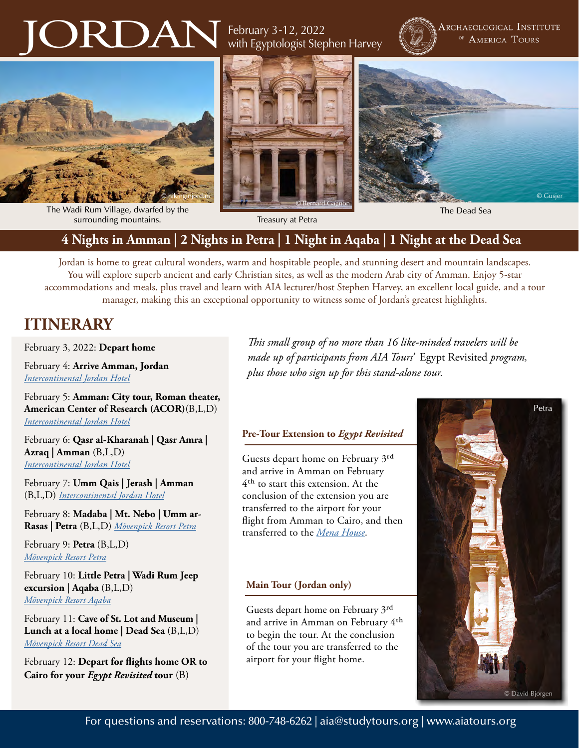# JORDAN

February 3-12, 2022 with Egyptologist Stephen Harvey



Archaeological Institute OF AMERICA TOURS







The Wadi Rum Village, dwarfed by the surrounding mountains. Treasury at Petra

### **4 Nights in Amman | 2 Nights in Petra | 1 Night in Aqaba | 1 Night at the Dead Sea**

Jordan is home to great cultural wonders, warm and hospitable people, and stunning desert and mountain landscapes. You will explore superb ancient and early Christian sites, as well as the modern Arab city of Amman. Enjoy 5-star accommodations and meals, plus travel and learn with AIA lecturer/host Stephen Harvey, an excellent local guide, and a tour manager, making this an exceptional opportunity to witness some of Jordan's greatest highlights.

## **ITINERARY**

February 3, 2022: **Depart home**

February 4: **Arrive Amman, Jordan** *[Intercontinental Jordan Hotel](https://www.ihg.com/intercontinental/hotels/us/en/amman/ammha/hoteldetail)*

February 5: **Amman: City tour, Roman theater, American Center of Research (ACOR)**(B,L,D) *[Intercontinental Jordan Hotel](https://www.ihg.com/intercontinental/hotels/us/en/amman/ammha/hoteldetail)*

February 6: **Qasr al-Kharanah | Qasr Amra | Azraq | Amman** (B,L,D) *[Intercontinental Jordan Hotel](https://www.ihg.com/intercontinental/hotels/us/en/amman/ammha/hoteldetail)*

February 7: **Umm Qais | Jerash | Amman** (B,L,D) *[Intercontinental Jordan Hotel](https://www.ihg.com/intercontinental/hotels/us/en/amman/ammha/hoteldetail)*

February 8: **Madaba | Mt. Nebo | Umm ar-Rasas | Petra** (B,L,D) *[Mövenpick Resort Petra](https://www.movenpick.com/en/middle-east/jordan/petra/resort-petra/overview/)*

February 9: **Petra** (B,L,D) *[Mövenpick Resort Petra](https://www.movenpick.com/en/middle-east/jordan/petra/resort-petra/overview/)*

February 10: **Little Petra | Wadi Rum Jeep excursion | Aqaba** (B,L,D) *[Mövenpick Resort](https://www.movenpick.com/en/middle-east/jordan/aqaba/resort-aqaba/overview/) Aqaba*

February 11: **Cave of St. Lot and Museum | Lunch at a local home | Dead Sea** (B,L,D) *[Mövenpick Resort](https://www.movenpick.com/en/middle-east/jordan/dead-sea/resort-dead-sea/overview/) Dead Sea*

February 12: **Depart for flights home OR to Cairo for your** *Egypt Revisited* **tour** (B)

*This small group of no more than 16 like-minded travelers will be made up of participants from AIA Tours'* Egypt Revisited *program, plus those who sign up for this stand-alone tour.* 

#### **Pre-Tour Extension to** *Egypt Revisited*

Guests depart home on February 3rd and arrive in Amman on February 4th to start this extension. At the conclusion of the extension you are transferred to the airport for your flight from Amman to Cairo, and then transferred to the *[Mena House](https://www.marriott.com/hotels/travel/caimn-marriott-mena-house-cairo/)*.

#### **Main Tour (Jordan only)**

Guests depart home on February 3rd and arrive in Amman on February 4th to begin the tour. At the conclusion of the tour you are transferred to the airport for your flight home.